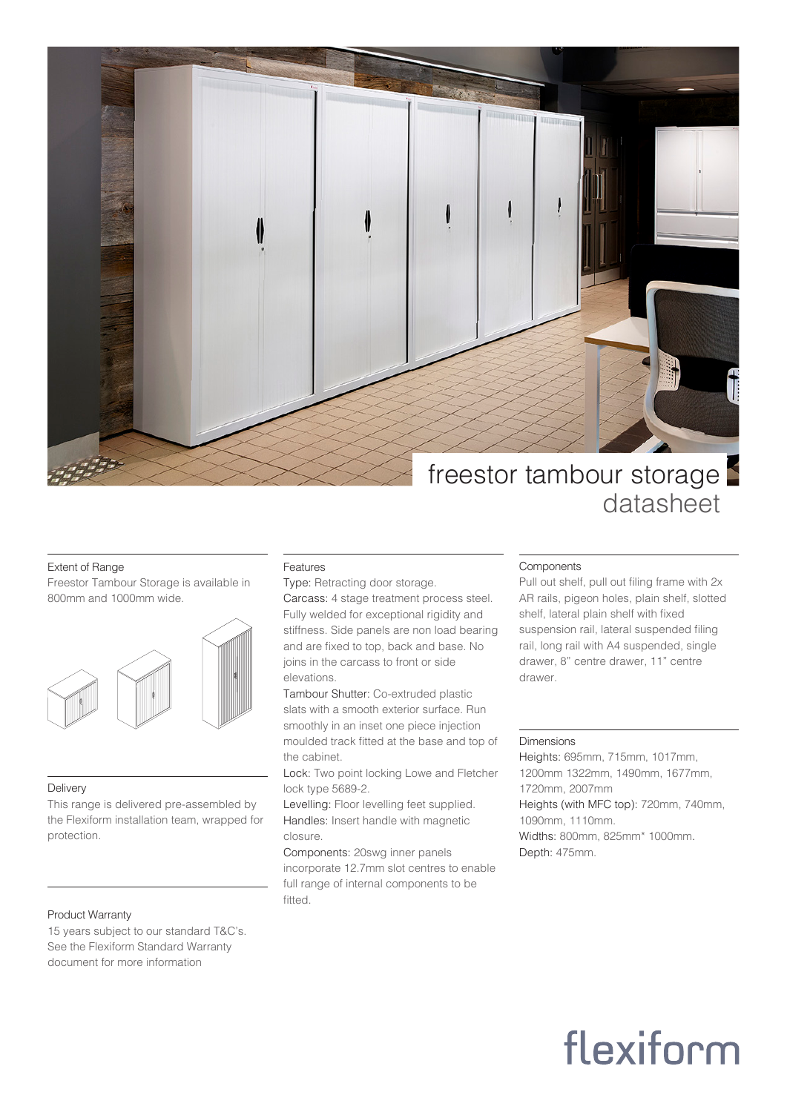

### Extent of Range

Freestor Tambour Storage is available in 800mm and 1000mm wide.



#### Delivery

This range is delivered pre-assembled by the Flexiform installation team, wrapped for protection.

### Product Warranty

15 years subject to our standard T&C's. See the Flexiform Standard Warranty document for more information

### Features

Type: Retracting door storage. Carcass: 4 stage treatment process steel. Fully welded for exceptional rigidity and stiffness. Side panels are non load bearing and are fixed to top, back and base. No joins in the carcass to front or side elevations.

Tambour Shutter: Co-extruded plastic slats with a smooth exterior surface. Run smoothly in an inset one piece injection moulded track fitted at the base and top of the cabinet.

Lock: Two point locking Lowe and Fletcher lock type 5689-2.

Levelling: Floor levelling feet supplied. Handles: Insert handle with magnetic closure.

Components: 20swg inner panels incorporate 12.7mm slot centres to enable full range of internal components to be fitted.

### Components

Pull out shelf, pull out filing frame with 2x AR rails, pigeon holes, plain shelf, slotted shelf, lateral plain shelf with fixed suspension rail, lateral suspended filing rail, long rail with A4 suspended, single drawer, 8" centre drawer, 11" centre drawer.

### Dimensions

Heights: 695mm, 715mm, 1017mm, 1200mm 1322mm, 1490mm, 1677mm, 1720mm, 2007mm Heights (with MFC top): 720mm, 740mm, 1090mm, 1110mm. Widths: 800mm, 825mm\* 1000mm. Depth: 475mm.

## flexiform